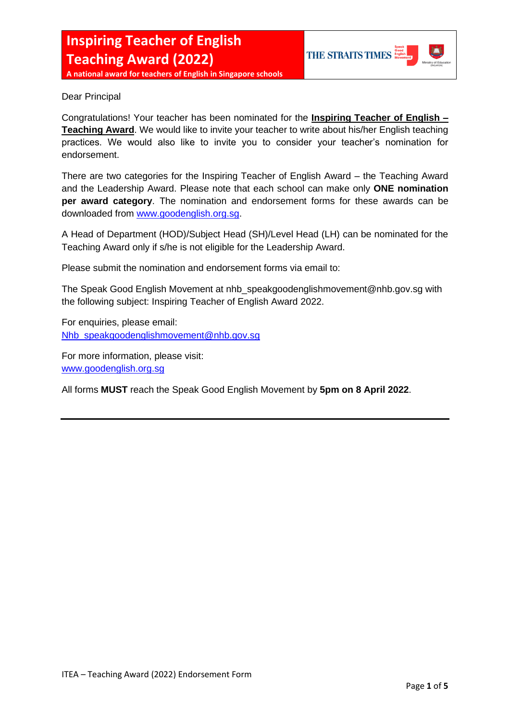

Dear Principal

Congratulations! Your teacher has been nominated for the **Inspiring Teacher of English – Teaching Award**. We would like to invite your teacher to write about his/her English teaching practices. We would also like to invite you to consider your teacher's nomination for endorsement.

There are two categories for the Inspiring Teacher of English Award – the Teaching Award and the Leadership Award. Please note that each school can make only **ONE nomination per award category**. The nomination and endorsement forms for these awards can be downloaded from [www.goodenglish.org.sg.](http://www.goodenglish.org.sg/)

A Head of Department (HOD)/Subject Head (SH)/Level Head (LH) can be nominated for the Teaching Award only if s/he is not eligible for the Leadership Award.

Please submit the nomination and endorsement forms via email to:

The Speak Good English Movement at nhb\_speakgoodenglishmovement@nhb.gov.sg with the following subject: Inspiring Teacher of English Award 2022.

For enquiries, please email: [Nhb\\_speakgoodenglishmovement@nhb.gov.sg](mailto:Nhb_speakgoodenglishmovement@nhb.gov.sg)

For more information, please visit: [www.goodenglish.org.sg](http://www.goodenglish.org.sg/)

All forms **MUST** reach the Speak Good English Movement by **5pm on 8 April 2022**.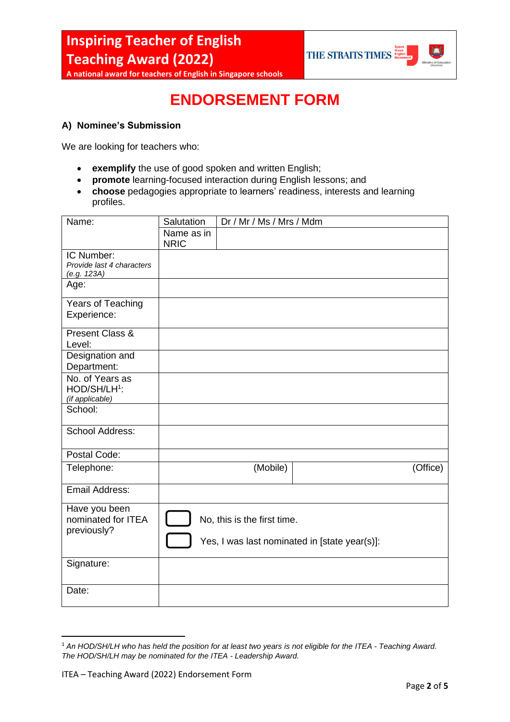**A national award for teachers of English in Singapore schools**



## **ENDORSEMENT FORM**

## **A) Nominee's Submission**

We are looking for teachers who:

- **exemplify** the use of good spoken and written English;
- **promote** learning-focused interaction during English lessons; and
- **choose** pedagogies appropriate to learners' readiness, interests and learning profiles.

| Name:                     | Salutation  | Dr / Mr / Ms / Mrs / Mdm    |                                               |          |
|---------------------------|-------------|-----------------------------|-----------------------------------------------|----------|
|                           | Name as in  |                             |                                               |          |
|                           | <b>NRIC</b> |                             |                                               |          |
| IC Number:                |             |                             |                                               |          |
| Provide last 4 characters |             |                             |                                               |          |
| (e.g. 123A)               |             |                             |                                               |          |
| Age:                      |             |                             |                                               |          |
| Years of Teaching         |             |                             |                                               |          |
| Experience:               |             |                             |                                               |          |
| Present Class &           |             |                             |                                               |          |
| Level:                    |             |                             |                                               |          |
| Designation and           |             |                             |                                               |          |
| Department:               |             |                             |                                               |          |
| No. of Years as           |             |                             |                                               |          |
| HOD/SH/LH <sup>1</sup> :  |             |                             |                                               |          |
| (if applicable)           |             |                             |                                               |          |
| School:                   |             |                             |                                               |          |
| School Address:           |             |                             |                                               |          |
| Postal Code:              |             |                             |                                               |          |
| Telephone:                |             | (Mobile)                    |                                               | (Office) |
| Email Address:            |             |                             |                                               |          |
|                           |             |                             |                                               |          |
| Have you been             |             |                             |                                               |          |
| nominated for ITEA        |             | No, this is the first time. |                                               |          |
| previously?               |             |                             |                                               |          |
|                           |             |                             | Yes, I was last nominated in [state year(s)]: |          |
| Signature:                |             |                             |                                               |          |
|                           |             |                             |                                               |          |
| Date:                     |             |                             |                                               |          |
|                           |             |                             |                                               |          |

<sup>1</sup> *An HOD/SH/LH who has held the position for at least two years is not eligible for the ITEA - Teaching Award. The HOD/SH/LH may be nominated for the ITEA - Leadership Award.*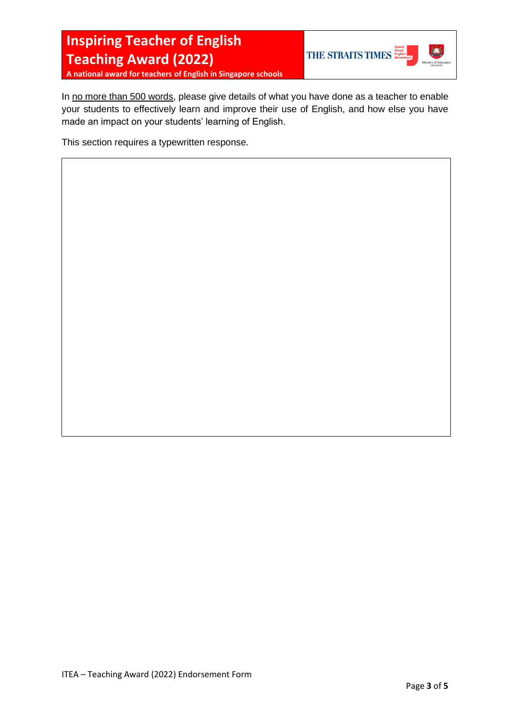**THE STRAITS TIMES** Speck



**A national award for teachers of English in Singapore schools**

In no more than 500 words, please give details of what you have done as a teacher to enable your students to effectively learn and improve their use of English, and how else you have made an impact on your students' learning of English.

This section requires a typewritten response.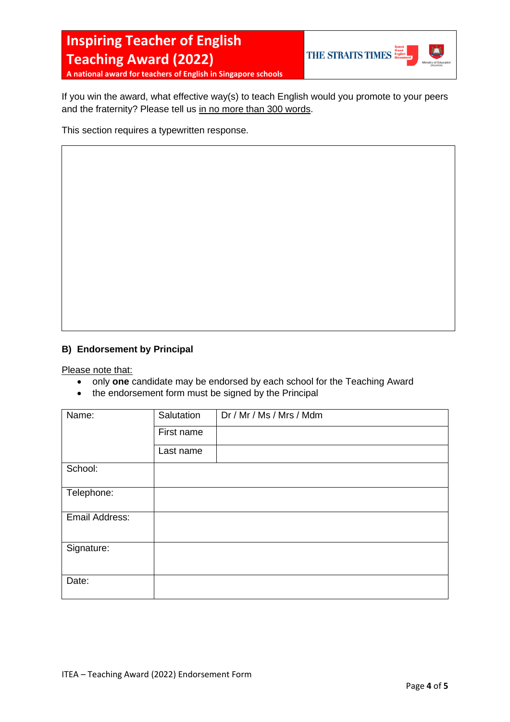

**A national award for teachers of English in Singapore schools**

If you win the award, what effective way(s) to teach English would you promote to your peers and the fraternity? Please tell us in no more than 300 words.

This section requires a typewritten response.

## **B) Endorsement by Principal**

Please note that:

- only **one** candidate may be endorsed by each school for the Teaching Award
- the endorsement form must be signed by the Principal

| Name:          | Salutation | Dr / Mr / Ms / Mrs / Mdm |
|----------------|------------|--------------------------|
|                | First name |                          |
|                | Last name  |                          |
| School:        |            |                          |
| Telephone:     |            |                          |
| Email Address: |            |                          |
| Signature:     |            |                          |
| Date:          |            |                          |